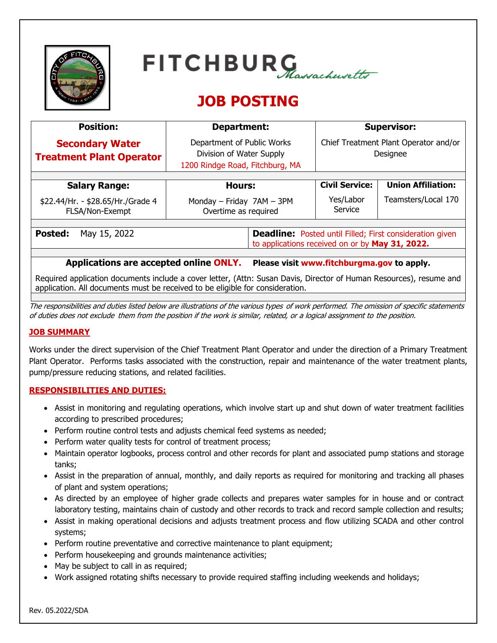| TERS |  |
|------|--|
|      |  |
|      |  |



# **JOB POSTING**

| <b>Position:</b>                                                                     | Department:                                                                               |                                                                                                                    | <b>Supervisor:</b>                                |                           |  |  |
|--------------------------------------------------------------------------------------|-------------------------------------------------------------------------------------------|--------------------------------------------------------------------------------------------------------------------|---------------------------------------------------|---------------------------|--|--|
| <b>Secondary Water</b><br><b>Treatment Plant Operator</b>                            | Department of Public Works<br>Division of Water Supply<br>1200 Rindge Road, Fitchburg, MA |                                                                                                                    | Chief Treatment Plant Operator and/or<br>Designee |                           |  |  |
|                                                                                      |                                                                                           |                                                                                                                    |                                                   |                           |  |  |
| <b>Salary Range:</b>                                                                 | <b>Hours:</b>                                                                             |                                                                                                                    | <b>Civil Service:</b>                             | <b>Union Affiliation:</b> |  |  |
| \$22.44/Hr. - \$28.65/Hr./Grade 4<br>FLSA/Non-Exempt                                 | Monday - Friday 7AM - 3PM<br>Overtime as required                                         |                                                                                                                    | Yes/Labor<br>Service                              | Teamsters/Local 170       |  |  |
|                                                                                      |                                                                                           |                                                                                                                    |                                                   |                           |  |  |
| Posted:<br>May 15, 2022                                                              |                                                                                           | <b>Deadline:</b> Posted until Filled; First consideration given<br>to applications received on or by May 31, 2022. |                                                   |                           |  |  |
|                                                                                      |                                                                                           |                                                                                                                    |                                                   |                           |  |  |
| Applications are accepted online ONLY.<br>Please visit www.fitchburgma.gov to apply. |                                                                                           |                                                                                                                    |                                                   |                           |  |  |

Required application documents include a cover letter, (Attn: Susan Davis, Director of Human Resources), resume and application. All documents must be received to be eligible for consideration.

The responsibilities and duties listed below are illustrations of the various types of work performed. The omission of specific statements of duties does not exclude them from the position if the work is similar, related, or a logical assignment to the position.

# **JOB SUMMARY**

Works under the direct supervision of the Chief Treatment Plant Operator and under the direction of a Primary Treatment Plant Operator. Performs tasks associated with the construction, repair and maintenance of the water treatment plants, pump/pressure reducing stations, and related facilities.

# **RESPONSIBILITIES AND DUTIES:**

- Assist in monitoring and regulating operations, which involve start up and shut down of water treatment facilities according to prescribed procedures;
- Perform routine control tests and adjusts chemical feed systems as needed;
- Perform water quality tests for control of treatment process;
- Maintain operator logbooks, process control and other records for plant and associated pump stations and storage tanks;
- Assist in the preparation of annual, monthly, and daily reports as required for monitoring and tracking all phases of plant and system operations;
- As directed by an employee of higher grade collects and prepares water samples for in house and or contract laboratory testing, maintains chain of custody and other records to track and record sample collection and results;
- Assist in making operational decisions and adjusts treatment process and flow utilizing SCADA and other control systems;
- Perform routine preventative and corrective maintenance to plant equipment;
- Perform housekeeping and grounds maintenance activities;
- May be subject to call in as required;
- Work assigned rotating shifts necessary to provide required staffing including weekends and holidays;